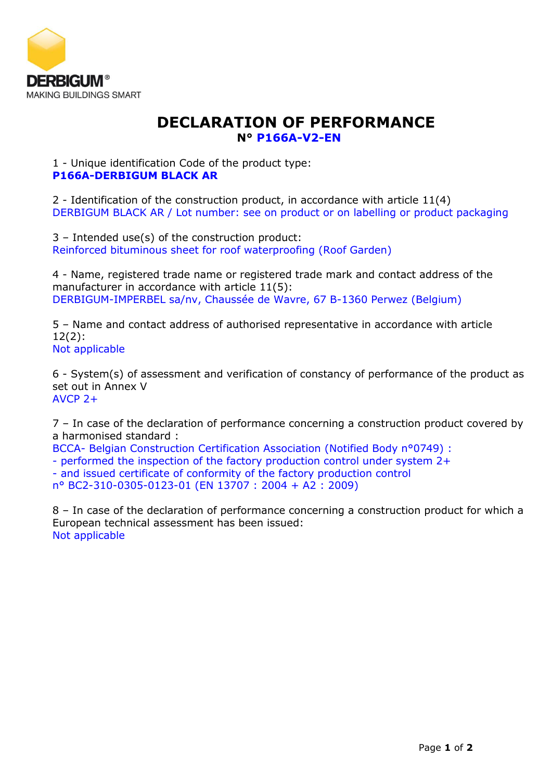

## **DECLARATION OF PERFORMANCE N° P166A-V2-EN**

1 - Unique identification Code of the product type: **P166A-DERBIGUM BLACK AR**

2 - Identification of the construction product, in accordance with article 11(4) DERBIGUM BLACK AR / Lot number: see on product or on labelling or product packaging

3 – Intended use(s) of the construction product: Reinforced bituminous sheet for roof waterproofing (Roof Garden)

4 - Name, registered trade name or registered trade mark and contact address of the manufacturer in accordance with article 11(5): DERBIGUM-IMPERBEL sa/nv, Chaussée de Wavre, 67 B-1360 Perwez (Belgium)

5 – Name and contact address of authorised representative in accordance with article 12(2): Not applicable

6 - System(s) of assessment and verification of constancy of performance of the product as set out in Annex V AVCP 2+

7 – In case of the declaration of performance concerning a construction product covered by a harmonised standard :

BCCA- Belgian Construction Certification Association (Notified Body n°0749) :

- performed the inspection of the factory production control under system 2+

- and issued certificate of conformity of the factory production control

n° BC2-310-0305-0123-01 (EN 13707 : 2004 + A2 : 2009)

8 – In case of the declaration of performance concerning a construction product for which a European technical assessment has been issued: Not applicable